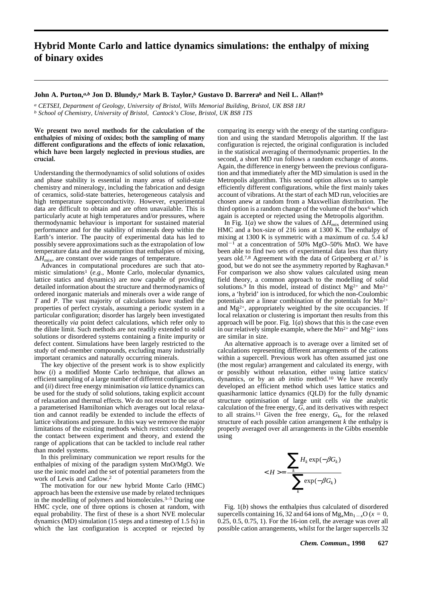## **Hybrid Monte Carlo and lattice dynamics simulations: the enthalpy of mixing of binary oxides**

## **John A. Purton,***a,b* **Jon D. Blundy,***a* **Mark B. Taylor,***b* **Gustavo D. Barrera***b* **and Neil L. Allan†***b*

*a CETSEI, Department of Geology, University of Bristol, Wills Memorial Building, Bristol, UK BS8 1RJ b School of Chemistry, University of Bristol, Cantock's Close, Bristol, UK BS8 1TS* 

**We present two novel methods for the calculation of the enthalpies of mixing of oxides; both the sampling of many different configurations and the effects of ionic relaxation, which have been largely neglected in previous studies, are crucial.**

Understanding the thermodynamics of solid solutions of oxides and phase stability is essential in many areas of solid-state chemistry and mineralogy, including the fabrication and design of ceramics, solid-state batteries, heterogeneous catalysis and high temperature superconductivity. However, experimental data are difficult to obtain and are often unavailable. This is particularly acute at high temperatures and/or pressures, where thermodynamic behaviour is important for sustained material performance and for the stability of minerals deep within the Earth's interior. The paucity of experimental data has led to possibly severe approximations such as the extrapolation of low temperature data and the assumption that enthalpies of mixing,  $\Delta H_{\text{mix}}$ , are constant over wide ranges of temperature.

Advances in computational procedures are such that atomistic simulations1 (*e.g.*, Monte Carlo, molecular dynamics, lattice statics and dynamics) are now capable of providing detailed information about the structure and thermodynamics of ordered inorganic materials and minerals over a wide range of *T* and *P*. The vast majority of calculations have studied the properties of perfect crystals, assuming a periodic system in a particular configuration; disorder has largely been investigated theoretically *via* point defect calculations, which refer only to the dilute limit. Such methods are not readily extended to solid solutions or disordered systems containing a finite impurity or defect content. Simulations have been largely restricted to the study of end-member compounds, excluding many industrially important ceramics and naturally occurring minerals.

The key objective of the present work is to show explicitly how (*i*) a modified Monte Carlo technique, that allows an efficient sampling of a large number of different configurations, and (*ii*) direct free energy minimisation *via* lattice dynamics can be used for the study of solid solutions, taking explicit account of relaxation and thermal effects. We do not resort to the use of a parameterised Hamiltonian which averages out local relaxation and cannot readily be extended to include the effects of lattice vibrations and pressure. In this way we remove the major limitations of the existing methods which restrict considerably the contact between experiment and theory, and extend the range of applications that can be tackled to include real rather than model systems.

In this preliminary communication we report results for the enthalpies of mixing of the paradigm system MnO/MgO. We use the ionic model and the set of potential parameters from the work of Lewis and Catlow.2

The motivation for our new hybrid Monte Carlo (HMC) approach has been the extensive use made by related techniques in the modelling of polymers and biomolecules.3–5 During one HMC cycle, one of three options is chosen at random, with equal probability. The first of these is a short NVE molecular dynamics (MD) simulation (15 steps and a timestep of 1.5 fs) in which the last configuration is accepted or rejected by comparing its energy with the energy of the starting configuration and using the standard Metropolis algorithm. If the last configuration is rejected, the original configuration is included in the statistical averaging of thermodynamic properties. In the second, a short MD run follows a random exchange of atoms. Again, the difference in energy between the previous configuration and that immediately after the MD simulation is used in the Metropolis algorithm. This second option allows us to sample efficiently different configurations, while the first mainly takes account of vibrations. At the start of each MD run, velocities are chosen anew at random from a Maxwellian distribution. The third option is a random change of the volume of the box<sup>6</sup> which again is accepted or rejected using the Metropolis algorithm.

In Fig. 1(*a*) we show the values of  $\Delta H_{\text{mix}}$  determined using HMC and a box-size of 216 ions at 1300 K. The enthalpy of mixing at 1300 K is symmetric with a maximum of *ca*. 5.4 kJ mol<sup>-1</sup> at a concentration of 50% MgO-50% MnO. We have been able to find two sets of experimental data less than thirty years old.7,8 Agreement with the data of Gripenberg *et al.*7 is good, but we do not see the asymmetry reported by Raghavan.8 For comparison we also show values calculated using mean field theory, a common approach to the modelling of solid solutions.<sup>9</sup> In this model, instead of distinct Mg<sup>2+</sup> and Mn<sup>2+</sup> ions, a 'hybrid' ion is introduced, for which the non-Coulombic potentials are a linear combination of the potentials for Mn2+ and  $Mg^{2+}$ , appropriately weighted by the site occupancies. If local relaxation or clustering is important then results from this approach will be poor. Fig.  $1(a)$  shows that this is the case even in our relatively simple example, where the  $Mn^{2+}$  and  $Mg^{2+}$  ions are similar in size.

An alternative approach is to average over a limited set of calculations representing different arrangements of the cations within a supercell. Previous work has often assumed just one (the most regular) arrangement and calculated its energy, with or possibly without relaxation, either using lattice statics/ dynamics, or by an *ab initio* method.10 We have recently developed an efficient method which uses lattice statics and quasiharmonic lattice dynamics (QLD) for the fully dynamic structure optimisation of large unit cells *via* the analytic calculation of the free energy, *G*, and its derivatives with respect to all strains.<sup>11</sup> Given the free energy,  $G_k$ , for the relaxed structure of each possible cation arrangement *k* the enthalpy is properly averaged over all arrangements in the Gibbs ensemble using

$$
=\frac{\sum_{k}H_{k}\exp(-\beta G_{k})}{\sum_{k}\exp(-\beta G_{k})}
$$

Fig. 1(*b*) shows the enthalpies thus calculated of disordered supercells containing 16, 32 and 64 ions of  $Mg_xMn_{1-x}O(x=0,$  $0.\overline{25}$ ,  $0.5$ ,  $0.75$ ,  $1$ ). For the 16-ion cell, the average was over all possible cation arrangements, whilst for the larger supercells 32

*Chem. Commun***., 1998 627**